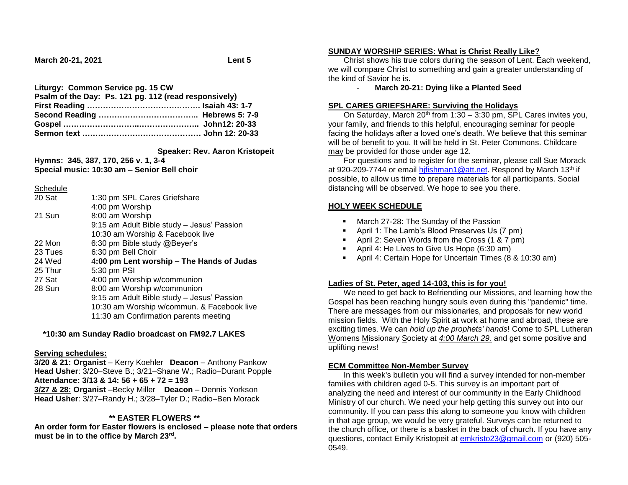**March 20-21, 2021 Lent 5**

## **Liturgy: Common Service pg. 15 CW**

| Psalm of the Day: Ps. 121 pg. 112 (read responsively) |  |
|-------------------------------------------------------|--|
|                                                       |  |
|                                                       |  |
|                                                       |  |
|                                                       |  |

 **Speaker: Rev. Aaron Kristopeit**

**Hymns: 345, 387, 170, 256 v. 1, 3-4 Special music: 10:30 am – Senior Bell choir**

#### **Schedule**

| 1:30 pm SPL Cares Griefshare               |
|--------------------------------------------|
| 4:00 pm Worship                            |
| 8:00 am Worship                            |
| 9:15 am Adult Bible study - Jesus' Passion |
| 10:30 am Worship & Facebook live           |
| 6:30 pm Bible study @Beyer's               |
| 6:30 pm Bell Choir                         |
| 4:00 pm Lent worship - The Hands of Judas  |
| 5:30 pm PSI                                |
| 4:00 pm Worship w/communion                |
| 8:00 am Worship w/communion                |
| 9:15 am Adult Bible study - Jesus' Passion |
| 10:30 am Worship w/commun. & Facebook live |
| 11:30 am Confirmation parents meeting      |
|                                            |

#### **\*10:30 am Sunday Radio broadcast on FM92.7 LAKES**

#### **Serving schedules:**

**3/20 & 21: Organist** – Kerry Koehler **Deacon** – Anthony Pankow **Head Usher**: 3/20–Steve B.; 3/21–Shane W.; Radio–Durant Popple **Attendance: 3/13 & 14: 56 + 65 + 72 = 193 3/27 & 28: Organist** –Becky Miller **Deacon** – Dennis Yorkson **Head Usher**: 3/27–Randy H.; 3/28–Tyler D.; Radio–Ben Morack

## **\*\* EASTER FLOWERS \*\***

**An order form for Easter flowers is enclosed – please note that orders must be in to the office by March 23rd .**

#### **SUNDAY WORSHIP SERIES: What is Christ Really Like?**

 Christ shows his true colors during the season of Lent. Each weekend, we will compare Christ to something and gain a greater understanding of the kind of Savior he is.

#### - **March 20-21: Dying like a Planted Seed**

#### **SPL CARES GRIEFSHARE: Surviving the Holidays**

On Saturday, March 20<sup>th</sup> from 1:30 – 3:30 pm, SPL Cares invites you, your family, and friends to this helpful, encouraging seminar for people facing the holidays after a loved one's death. We believe that this seminar will be of benefit to you. It will be held in St. Peter Commons. Childcare may be provided for those under age 12.

 For questions and to register for the seminar, please call Sue Morack at 920-209-7744 or email hifishman1@att.net. Respond by March 13<sup>th</sup> if possible, to allow us time to prepare materials for all participants. Social distancing will be observed. We hope to see you there.

## **HOLY WEEK SCHEDULE**

- **March 27-28: The Sunday of the Passion**
- April 1: The Lamb's Blood Preserves Us (7 pm)
- April 2: Seven Words from the Cross (1 & 7 pm)
- **April 4: He Lives to Give Us Hope (6:30 am)**
- April 4: Certain Hope for Uncertain Times (8 & 10:30 am)

## **Ladies of St. Peter, aged 14-103, this is for you!**

 We need to get back to Befriending our Missions, and learning how the Gospel has been reaching hungry souls even during this "pandemic" time. There are messages from our missionaries, and proposals for new world mission fields. With the Holy Spirit at work at home and abroad, these are exciting times. We can *hold up the prophets' hands*! Come to SPL Lutheran Womens Missionary Society at *4:00 March 29,* and get some positive and uplifting news!

## **ECM Committee Non-Member Survey**

 In this week's bulletin you will find a survey intended for non-member families with children aged 0-5. This survey is an important part of analyzing the need and interest of our community in the Early Childhood Ministry of our church. We need your help getting this survey out into our community. If you can pass this along to someone you know with children in that age group, we would be very grateful. Surveys can be returned to the church office, or there is a basket in the back of church. If you have any questions, contact Emily Kristopeit at [emkristo23@gmail.com](mailto:emkristo23@gmail.com) or (920) 505- 0549.